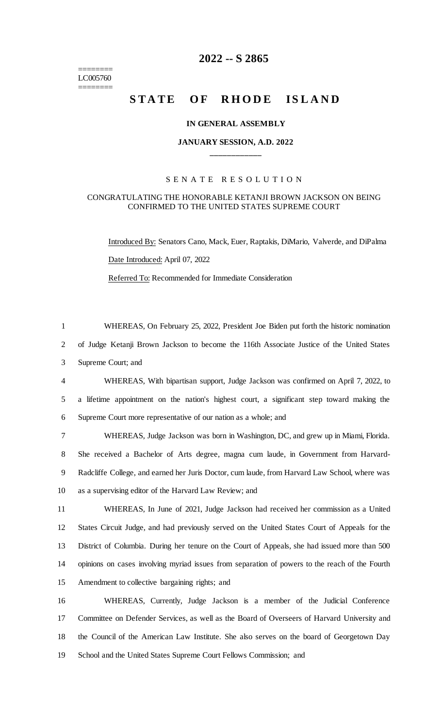======== LC005760 ========

## **-- S 2865**

# **STATE OF RHODE ISLAND**

## **IN GENERAL ASSEMBLY**

## **JANUARY SESSION, A.D. 2022 \_\_\_\_\_\_\_\_\_\_\_\_**

### S E N A T E R E S O L U T I O N

## CONGRATULATING THE HONORABLE KETANJI BROWN JACKSON ON BEING CONFIRMED TO THE UNITED STATES SUPREME COURT

Introduced By: Senators Cano, Mack, Euer, Raptakis, DiMario, Valverde, and DiPalma Date Introduced: April 07, 2022 Referred To: Recommended for Immediate Consideration

 WHEREAS, On February 25, 2022, President Joe Biden put forth the historic nomination of Judge Ketanji Brown Jackson to become the 116th Associate Justice of the United States Supreme Court; and

 WHEREAS, With bipartisan support, Judge Jackson was confirmed on April 7, 2022, to a lifetime appointment on the nation's highest court, a significant step toward making the Supreme Court more representative of our nation as a whole; and

 WHEREAS, Judge Jackson was born in Washington, DC, and grew up in Miami, Florida. She received a Bachelor of Arts degree, magna cum laude, in Government from Harvard- Radcliffe College, and earned her Juris Doctor, cum laude, from Harvard Law School, where was as a supervising editor of the Harvard Law Review; and

 WHEREAS, In June of 2021, Judge Jackson had received her commission as a United States Circuit Judge, and had previously served on the United States Court of Appeals for the District of Columbia. During her tenure on the Court of Appeals, she had issued more than 500 opinions on cases involving myriad issues from separation of powers to the reach of the Fourth Amendment to collective bargaining rights; and

 WHEREAS, Currently, Judge Jackson is a member of the Judicial Conference Committee on Defender Services, as well as the Board of Overseers of Harvard University and the Council of the American Law Institute. She also serves on the board of Georgetown Day School and the United States Supreme Court Fellows Commission; and